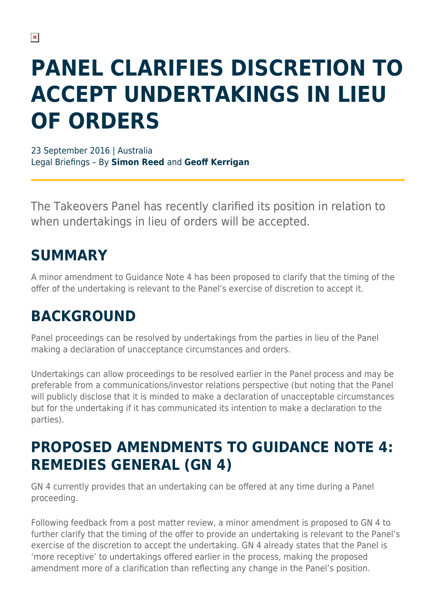# **PANEL CLARIFIES DISCRETION TO ACCEPT UNDERTAKINGS IN LIEU OF ORDERS**

23 September 2016 | Australia Legal Briefings – By **Simon Reed** and **Geoff Kerrigan**

The Takeovers Panel has recently clarified its position in relation to when undertakings in lieu of orders will be accepted.

## **SUMMARY**

A minor amendment to Guidance Note 4 has been proposed to clarify that the timing of the offer of the undertaking is relevant to the Panel's exercise of discretion to accept it.

## **BACKGROUND**

Panel proceedings can be resolved by undertakings from the parties in lieu of the Panel making a declaration of unacceptance circumstances and orders.

Undertakings can allow proceedings to be resolved earlier in the Panel process and may be preferable from a communications/investor relations perspective (but noting that the Panel will publicly disclose that it is minded to make a declaration of unacceptable circumstances but for the undertaking if it has communicated its intention to make a declaration to the parties).

#### **PROPOSED AMENDMENTS TO GUIDANCE NOTE 4: REMEDIES GENERAL (GN 4)**

GN 4 currently provides that an undertaking can be offered at any time during a Panel proceeding.

Following feedback from a post matter review, a minor amendment is proposed to GN 4 to further clarify that the timing of the offer to provide an undertaking is relevant to the Panel's exercise of the discretion to accept the undertaking. GN 4 already states that the Panel is 'more receptive' to undertakings offered earlier in the process, making the proposed amendment more of a clarification than reflecting any change in the Panel's position.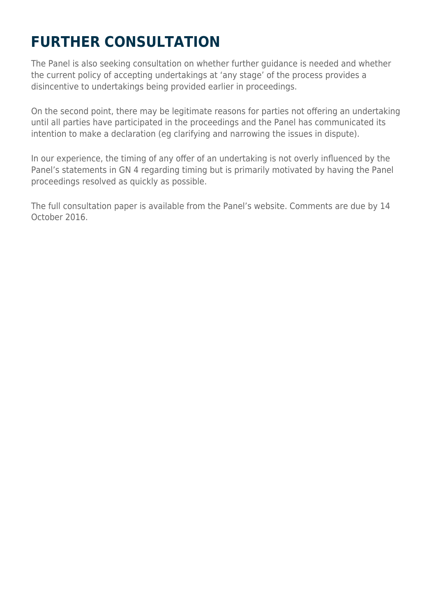# **FURTHER CONSULTATION**

The Panel is also seeking consultation on whether further guidance is needed and whether the current policy of accepting undertakings at 'any stage' of the process provides a disincentive to undertakings being provided earlier in proceedings.

On the second point, there may be legitimate reasons for parties not offering an undertaking until all parties have participated in the proceedings and the Panel has communicated its intention to make a declaration (eg clarifying and narrowing the issues in dispute).

In our experience, the timing of any offer of an undertaking is not overly influenced by the Panel's statements in GN 4 regarding timing but is primarily motivated by having the Panel proceedings resolved as quickly as possible.

The full consultation paper is available from the Panel's website. Comments are due by 14 October 2016.